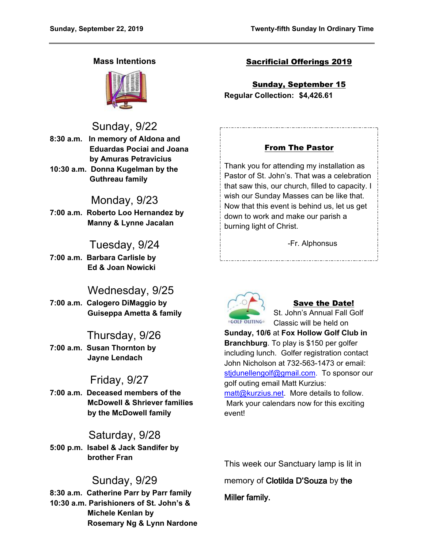## **Mass Intentions**



# Sunday, 9/22

- **8:30 a.m. In memory of Aldona and Eduardas Pociai and Joana by Amuras Petravicius 10:30 a.m. Donna Kugelman by the**
- **Guthreau family**

## Monday, 9/23

**7:00 a.m. Roberto Loo Hernandez by Manny & Lynne Jacalan**

# Tuesday, 9/24

**7:00 a.m. Barbara Carlisle by Ed & Joan Nowicki**

## Wednesday, 9/25

**7:00 a.m. Calogero DiMaggio by Guiseppa Ametta & family**

# Thursday, 9/26

**7:00 a.m. Susan Thornton by Jayne Lendach**

# Friday, 9/27

**7:00 a.m. Deceased members of the McDowell & Shriever families by the McDowell family**

## Saturday, 9/28

**5:00 p.m. Isabel & Jack Sandifer by brother Fran**

## Sunday, 9/29

**8:30 a.m. Catherine Parr by Parr family 10:30 a.m. Parishioners of St. John's & Michele Kenlan by Rosemary Ng & Lynn Nardone**

## Sacrificial Offerings 2019

Sunday, September 15 **Regular Collection: \$4,426.61**

## From The Pastor

Thank you for attending my installation as Pastor of St. John's. That was a celebration that saw this, our church, filled to capacity. I wish our Sunday Masses can be like that. Now that this event is behind us, let us get down to work and make our parish a burning light of Christ.

-Fr. Alphonsus



## Save the Date!

St. John's Annual Fall Golf Classic will be held on

**Sunday, 10/6** at **Fox Hollow Golf Club in Branchburg**. To play is \$150 per golfer including lunch. Golfer registration contact John Nicholson at 732-563-1473 or email: [stjdunellengolf@gmail.com.](mailto:stjdunellengolf@gmail.com) To sponsor our golf outing email Matt Kurzius: [matt@kurzius.net.](mailto:matt@kurzius.net) More details to follow. Mark your calendars now for this exciting event!

This week our Sanctuary lamp is lit in

memory of **Clotilda D'Souza** by **the** 

**Miller family.**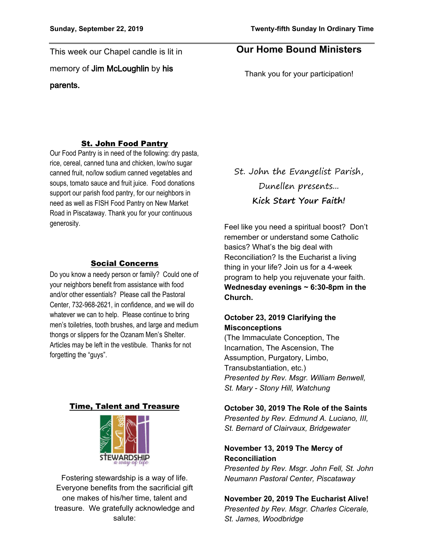This week our Chapel candle is lit in memory of **Jim McLoughlin** by **his parents.** 

## **Our Home Bound Ministers**

Thank you for your participation!

#### St. John Food Pantry

Our Food Pantry is in need of the following: dry pasta, rice, cereal, canned tuna and chicken, low/no sugar canned fruit, no/low sodium canned vegetables and soups, tomato sauce and fruit juice. Food donations support our parish food pantry, for our neighbors in need as well as FISH Food Pantry on New Market Road in Piscataway. Thank you for your continuous generosity.

#### Social Concerns

Do you know a needy person or family? Could one of your neighbors benefit from assistance with food and/or other essentials? Please call the Pastoral Center, 732-968-2621, in confidence, and we will do whatever we can to help. Please continue to bring men's toiletries, tooth brushes, and large and medium thongs or slippers for the Ozanam Men's Shelter. Articles may be left in the vestibule. Thanks for not forgetting the "guys".

#### Time, Talent and Treasure



Fostering stewardship is a way of life. Everyone benefits from the sacrificial gift one makes of his/her time, talent and treasure. We gratefully acknowledge and salute:

St. John the Evangelist Parish, Dunellen presents... **Kick Start Your Faith!**

Feel like you need a spiritual boost? Don't remember or understand some Catholic basics? What's the big deal with Reconciliation? Is the Eucharist a living thing in your life? Join us for a 4-week program to help you rejuvenate your faith. **Wednesday evenings ~ 6:30-8pm in the Church.**

### **October 23, 2019 Clarifying the Misconceptions**

(The Immaculate Conception, The Incarnation, The Ascension, The Assumption, Purgatory, Limbo, Transubstantiation, etc.) *Presented by Rev. Msgr. William Benwell, St. Mary - Stony Hill, Watchung*

#### **October 30, 2019 The Role of the Saints**

*Presented by Rev. Edmund A. Luciano, III, St. Bernard of Clairvaux, Bridgewater*

### **November 13, 2019 The Mercy of Reconciliation**

*Presented by Rev. Msgr. John Fell, St. John Neumann Pastoral Center, Piscataway*

**November 20, 2019 The Eucharist Alive!** *Presented by Rev. Msgr. Charles Cicerale, St. James, Woodbridge*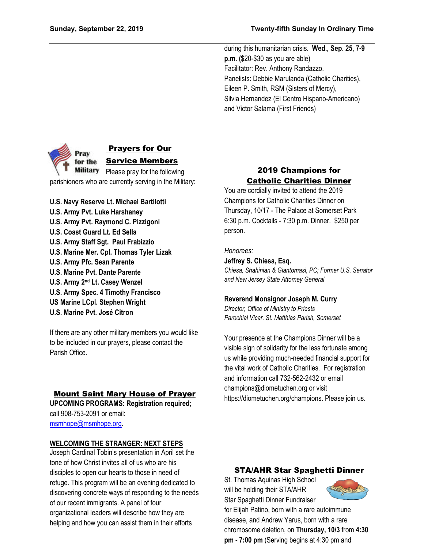during this humanitarian crisis. **Wed., Sep. 25, 7-9 p.m. (**\$20-\$30 as you are able) Facilitator: Rev. Anthony Randazzo. Panelists: Debbie Marulanda (Catholic Charities), Eileen P. Smith, RSM (Sisters of Mercy), Silvia Hernandez (El Centro Hispano-Americano) and Victor Salama (First Friends)



**U.S. Navy Reserve Lt. Michael Bartilotti U.S. Army Pvt. Luke Harshaney U.S. Army Pvt. Raymond C. Pizzigoni U.S. Coast Guard Lt. Ed Sella**

- **U.S. Army Staff Sgt. Paul Frabizzio U.S. Marine Mer. Cpl. Thomas Tyler Lizak**
- **U.S. Army Pfc. Sean Parente**
- **U.S. Marine Pvt. Dante Parente**
- **U.S. Army 2nd Lt. Casey Wenzel**
- **U.S. Army Spec. 4 Timothy Francisco**
- **US Marine LCpl. Stephen Wright**
- **U.S. Marine Pvt. José Citron**

If there are any other military members you would like to be included in our prayers, please contact the Parish Office.

## Mount Saint Mary House of Prayer

**UPCOMING PROGRAMS: Registration required**; call 908-753-2091 or email: [msmhope@msmhope.org.](mailto:msmhope@msmhope.org)

### **WELCOMING THE STRANGER: NEXT STEPS**

Joseph Cardinal Tobin's presentation in April set the tone of how Christ invites all of us who are his disciples to open our hearts to those in need of refuge. This program will be an evening dedicated to discovering concrete ways of responding to the needs of our recent immigrants. A panel of four organizational leaders will describe how they are helping and how you can assist them in their efforts

## 2019 Champions for Catholic Charities Dinner

You are cordially invited to attend the 2019 Champions for Catholic Charities Dinner on Thursday, 10/17 - The Palace at Somerset Park 6:30 p.m. Cocktails - 7:30 p.m. Dinner. \$250 per person.

*Honorees:*

## **Jeffrey S. Chiesa, Esq.**

*Chiesa, Shahinian & Giantomasi, PC; Former U.S. Senator and New Jersey State Attorney General*

### **Reverend Monsignor Joseph M. Curry**

*Director, Office of Ministry to Priests Parochial Vicar, St. Matthias Parish, Somerset*

Your presence at the Champions Dinner will be a visible sign of solidarity for the less fortunate among us while providing much-needed financial support for the vital work of Catholic Charities. For registration and information call 732-562-2432 or email champions@diometuchen.org or visit https://diometuchen.org/champions. Please join us.

## STA/AHR Star Spaghetti Dinner

St. Thomas Aquinas High School will be holding their STA/AHR Star Spaghetti Dinner Fundraiser



for Elijah Patino, born with a rare autoimmune disease, and Andrew Yarus, born with a rare chromosome deletion, on **Thursday, 10/3** from **4:30 pm - 7:00 pm** (Serving begins at 4:30 pm and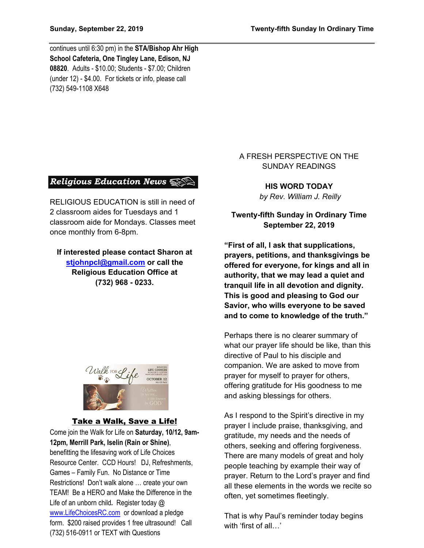continues until 6:30 pm) in the **STA/Bishop Ahr High School Cafeteria, One Tingley Lane, Edison, NJ 08820**. Adults - \$10.00; Students - \$7.00; Children (under 12) - \$4.00. For tickets or info, please call (732) 549-1108 X648

### **Religious Education News**  $\mathbb{S}$

RELIGIOUS EDUCATION is still in need of 2 classroom aides for Tuesdays and 1 classroom aide for Mondays. Classes meet once monthly from 6-8pm.

**If interested please contact Sharon at [stjohnpcl@gmail.com](mailto:stjohnpcl@gmail.com) or call the Religious Education Office at (732) 968 - 0233.**



#### Take a Walk, Save a Life!

Come join the Walk for Life on **Saturday, 10/12, 9am-12pm, Merrill Park, Iselin (Rain or Shine)**, benefitting the lifesaving work of Life Choices Resource Center. CCD Hours! DJ, Refreshments, Games – Family Fun. No Distance or Time Restrictions! Don't walk alone … create your own TEAM! Be a HERO and Make the Difference in the Life of an unborn child*.* Register today @ [www.LifeChoicesRC.com](http://www.lifechoicesrc.com/) or download a pledge form. \$200 raised provides 1 free ultrasound!Call (732) 516-0911 or TEXT with Questions

### A FRESH PERSPECTIVE ON THE SUNDAY READINGS

**HIS WORD TODAY** *by Rev. William J. Reilly*

## **Twenty-fifth Sunday in Ordinary Time September 22, 2019**

**"First of all, I ask that supplications, prayers, petitions, and thanksgivings be offered for everyone, for kings and all in authority, that we may lead a quiet and tranquil life in all devotion and dignity. This is good and pleasing to God our Savior, who wills everyone to be saved and to come to knowledge of the truth."**

Perhaps there is no clearer summary of what our prayer life should be like, than this directive of Paul to his disciple and companion. We are asked to move from prayer for myself to prayer for others, offering gratitude for His goodness to me and asking blessings for others.

As I respond to the Spirit's directive in my prayer I include praise, thanksgiving, and gratitude, my needs and the needs of others, seeking and offering forgiveness. There are many models of great and holy people teaching by example their way of prayer. Return to the Lord's prayer and find all these elements in the words we recite so often, yet sometimes fleetingly.

That is why Paul's reminder today begins with 'first of all...'